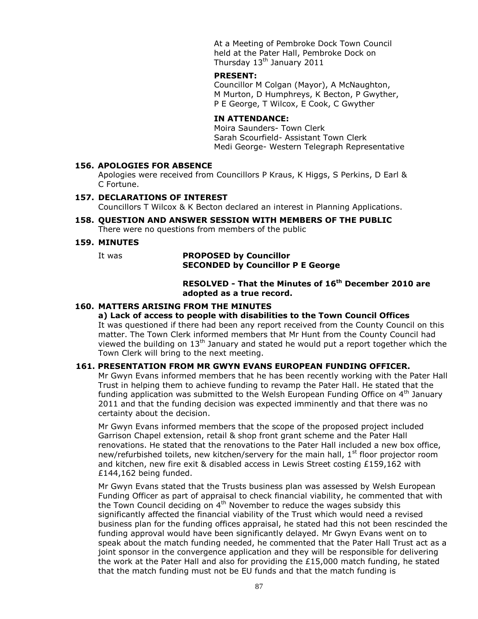At a Meeting of Pembroke Dock Town Council held at the Pater Hall, Pembroke Dock on Thursday 13<sup>th</sup> January 2011

## **PRESENT:**

Councillor M Colgan (Mayor), A McNaughton, M Murton, D Humphreys, K Becton, P Gwyther, P E George, T Wilcox, E Cook, C Gwyther

## **IN ATTENDANCE:**

Moira Saunders- Town Clerk Sarah Scourfield- Assistant Town Clerk Medi George- Western Telegraph Representative

#### **156. APOLOGIES FOR ABSENCE**

Apologies were received from Councillors P Kraus, K Higgs, S Perkins, D Earl & C Fortune.

#### **157. DECLARATIONS OF INTEREST**

Councillors T Wilcox & K Becton declared an interest in Planning Applications.

**158. QUESTION AND ANSWER SESSION WITH MEMBERS OF THE PUBLIC** There were no questions from members of the public

#### **159. MINUTES**

#### It was **PROPOSED by Councillor SECONDED by Councillor P E George**

# **RESOLVED - That the Minutes of 16th December 2010 are adopted as a true record.**

## **160. MATTERS ARISING FROM THE MINUTES**

#### **a) Lack of access to people with disabilities to the Town Council Offices**

It was questioned if there had been any report received from the County Council on this matter. The Town Clerk informed members that Mr Hunt from the County Council had viewed the building on  $13<sup>th</sup>$  January and stated he would put a report together which the Town Clerk will bring to the next meeting.

#### **161. PRESENTATION FROM MR GWYN EVANS EUROPEAN FUNDING OFFICER.**

Mr Gwyn Evans informed members that he has been recently working with the Pater Hall Trust in helping them to achieve funding to revamp the Pater Hall. He stated that the funding application was submitted to the Welsh European Funding Office on  $4<sup>th</sup>$  January 2011 and that the funding decision was expected imminently and that there was no certainty about the decision.

Mr Gwyn Evans informed members that the scope of the proposed project included Garrison Chapel extension, retail & shop front grant scheme and the Pater Hall renovations. He stated that the renovations to the Pater Hall included a new box office, new/refurbished toilets, new kitchen/servery for the main hall,  $1<sup>st</sup>$  floor projector room and kitchen, new fire exit & disabled access in Lewis Street costing £159,162 with £144,162 being funded.

Mr Gwyn Evans stated that the Trusts business plan was assessed by Welsh European Funding Officer as part of appraisal to check financial viability, he commented that with the Town Council deciding on  $4<sup>th</sup>$  November to reduce the wages subsidy this significantly affected the financial viability of the Trust which would need a revised business plan for the funding offices appraisal, he stated had this not been rescinded the funding approval would have been significantly delayed. Mr Gwyn Evans went on to speak about the match funding needed, he commented that the Pater Hall Trust act as a joint sponsor in the convergence application and they will be responsible for delivering the work at the Pater Hall and also for providing the £15,000 match funding, he stated that the match funding must not be EU funds and that the match funding is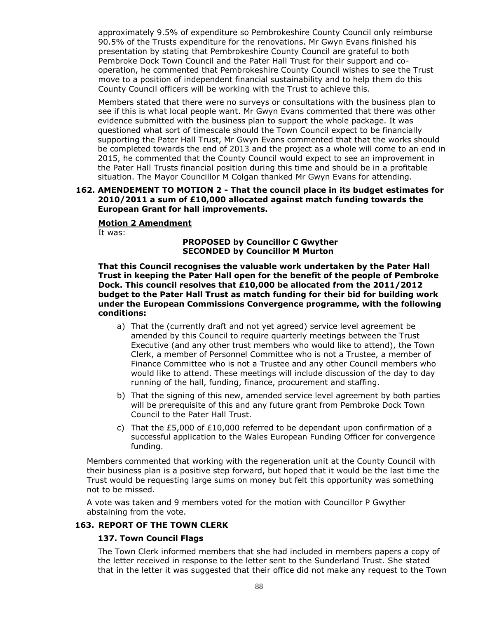approximately 9.5% of expenditure so Pembrokeshire County Council only reimburse 90.5% of the Trusts expenditure for the renovations. Mr Gwyn Evans finished his presentation by stating that Pembrokeshire County Council are grateful to both Pembroke Dock Town Council and the Pater Hall Trust for their support and cooperation, he commented that Pembrokeshire County Council wishes to see the Trust move to a position of independent financial sustainability and to help them do this County Council officers will be working with the Trust to achieve this.

Members stated that there were no surveys or consultations with the business plan to see if this is what local people want. Mr Gwyn Evans commented that there was other evidence submitted with the business plan to support the whole package. It was questioned what sort of timescale should the Town Council expect to be financially supporting the Pater Hall Trust, Mr Gwyn Evans commented that that the works should be completed towards the end of 2013 and the project as a whole will come to an end in 2015, he commented that the County Council would expect to see an improvement in the Pater Hall Trusts financial position during this time and should be in a profitable situation. The Mayor Councillor M Colgan thanked Mr Gwyn Evans for attending.

#### **162. AMENDEMENT TO MOTION 2 - That the council place in its budget estimates for 2010/2011 a sum of £10,000 allocated against match funding towards the European Grant for hall improvements.**

#### **Motion 2 Amendment**

It was:

**PROPOSED by Councillor C Gwyther SECONDED by Councillor M Murton**

**That this Council recognises the valuable work undertaken by the Pater Hall Trust in keeping the Pater Hall open for the benefit of the people of Pembroke Dock. This council resolves that £10,000 be allocated from the 2011/2012 budget to the Pater Hall Trust as match funding for their bid for building work under the European Commissions Convergence programme, with the following conditions:**

- a) That the (currently draft and not yet agreed) service level agreement be amended by this Council to require quarterly meetings between the Trust Executive (and any other trust members who would like to attend), the Town Clerk, a member of Personnel Committee who is not a Trustee, a member of Finance Committee who is not a Trustee and any other Council members who would like to attend. These meetings will include discussion of the day to day running of the hall, funding, finance, procurement and staffing.
- b) That the signing of this new, amended service level agreement by both parties will be prerequisite of this and any future grant from Pembroke Dock Town Council to the Pater Hall Trust.
- c) That the £5,000 of £10,000 referred to be dependant upon confirmation of a successful application to the Wales European Funding Officer for convergence funding.

Members commented that working with the regeneration unit at the County Council with their business plan is a positive step forward, but hoped that it would be the last time the Trust would be requesting large sums on money but felt this opportunity was something not to be missed.

A vote was taken and 9 members voted for the motion with Councillor P Gwyther abstaining from the vote.

#### **163. REPORT OF THE TOWN CLERK**

#### **137. Town Council Flags**

The Town Clerk informed members that she had included in members papers a copy of the letter received in response to the letter sent to the Sunderland Trust. She stated that in the letter it was suggested that their office did not make any request to the Town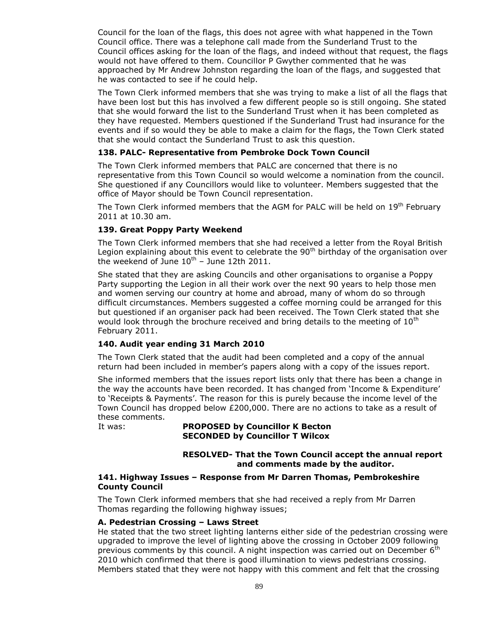Council for the loan of the flags, this does not agree with what happened in the Town Council office. There was a telephone call made from the Sunderland Trust to the Council offices asking for the loan of the flags, and indeed without that request, the flags would not have offered to them. Councillor P Gwyther commented that he was approached by Mr Andrew Johnston regarding the loan of the flags, and suggested that he was contacted to see if he could help.

The Town Clerk informed members that she was trying to make a list of all the flags that have been lost but this has involved a few different people so is still ongoing. She stated that she would forward the list to the Sunderland Trust when it has been completed as they have requested. Members questioned if the Sunderland Trust had insurance for the events and if so would they be able to make a claim for the flags, the Town Clerk stated that she would contact the Sunderland Trust to ask this question.

# **138. PALC- Representative from Pembroke Dock Town Council**

The Town Clerk informed members that PALC are concerned that there is no representative from this Town Council so would welcome a nomination from the council. She questioned if any Councillors would like to volunteer. Members suggested that the office of Mayor should be Town Council representation.

The Town Clerk informed members that the AGM for PALC will be held on 19<sup>th</sup> February 2011 at 10.30 am.

#### **139. Great Poppy Party Weekend**

The Town Clerk informed members that she had received a letter from the Royal British Legion explaining about this event to celebrate the  $90<sup>th</sup>$  birthday of the organisation over the weekend of June  $10^{th}$  – June 12th 2011.

She stated that they are asking Councils and other organisations to organise a Poppy Party supporting the Legion in all their work over the next 90 years to help those men and women serving our country at home and abroad, many of whom do so through difficult circumstances. Members suggested a coffee morning could be arranged for this but questioned if an organiser pack had been received. The Town Clerk stated that she would look through the brochure received and bring details to the meeting of  $10<sup>th</sup>$ February 2011.

## **140. Audit year ending 31 March 2010**

The Town Clerk stated that the audit had been completed and a copy of the annual return had been included in member's papers along with a copy of the issues report.

She informed members that the issues report lists only that there has been a change in the way the accounts have been recorded. It has changed from 'Income & Expenditure' to 'Receipts & Payments'. The reason for this is purely because the income level of the Town Council has dropped below £200,000. There are no actions to take as a result of these comments.

#### It was: **PROPOSED by Councillor K Becton SECONDED by Councillor T Wilcox**

# **RESOLVED- That the Town Council accept the annual report and comments made by the auditor.**

#### **141. Highway Issues – Response from Mr Darren Thomas, Pembrokeshire County Council**

The Town Clerk informed members that she had received a reply from Mr Darren Thomas regarding the following highway issues;

#### **A. Pedestrian Crossing – Laws Street**

He stated that the two street lighting lanterns either side of the pedestrian crossing were upgraded to improve the level of lighting above the crossing in October 2009 following previous comments by this council. A night inspection was carried out on December  $6<sup>th</sup>$ 2010 which confirmed that there is good illumination to views pedestrians crossing. Members stated that they were not happy with this comment and felt that the crossing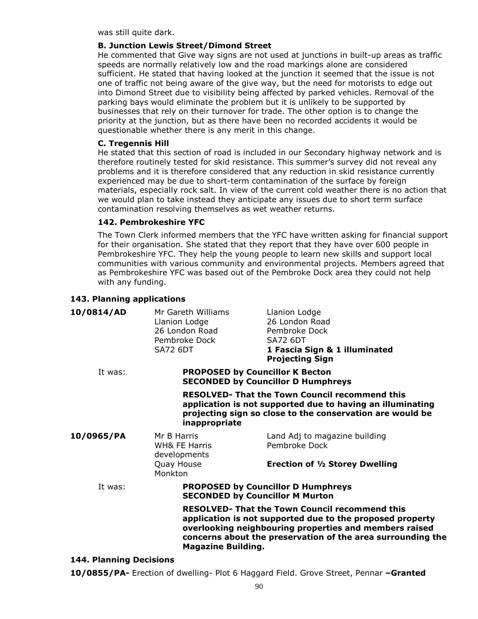was still quite dark.

## **B. Junction Lewis Street/Dimond Street**

He commented that Give way signs are not used at junctions in built-up areas as traffic speeds are normally relatively low and the road markings alone are considered sufficient. He stated that having looked at the junction it seemed that the issue is not one of traffic not being aware of the give way, but the need for motorists to edge out into Dimond Street due to visibility being affected by parked vehicles. Removal of the parking bays would eliminate the problem but it is unlikely to be supported by businesses that rely on their turnover for trade. The other option is to change the priority at the junction, but as there have been no recorded accidents it would be questionable whether there is any merit in this change.

# **C. Tregennis Hill**

He stated that this section of road is included in our Secondary highway network and is therefore routinely tested for skid resistance. This summer's survey did not reveal any problems and it is therefore considered that any reduction in skid resistance currently experienced may be due to short-term contamination of the surface by foreign materials, especially rock salt. In view of the current cold weather there is no action that we would plan to take instead they anticipate any issues due to short term surface contamination resolving themselves as wet weather returns.

# **142. Pembrokeshire YFC**

The Town Clerk informed members that the YFC have written asking for financial support for their organisation. She stated that they report that they have over 600 people in Pembrokeshire YFC. They help the young people to learn new skills and support local communities with various community and environmental projects. Members agreed that as Pembrokeshire YFC was based out of the Pembroke Dock area they could not help with any funding.

# **143. Planning applications**

| 10/0814/AD | Mr Gareth Williams<br>Llanion Lodge<br>26 London Road<br>Pembroke Dock<br><b>SA72 6DT</b>                                                                                                                                                                                | Llanion Lodge<br>26 London Road<br>Pembroke Dock<br><b>SA72 6DT</b><br>1 Fascia Sign & 1 illuminated<br><b>Projecting Sign</b> |  |  |
|------------|--------------------------------------------------------------------------------------------------------------------------------------------------------------------------------------------------------------------------------------------------------------------------|--------------------------------------------------------------------------------------------------------------------------------|--|--|
| It was:    | <b>PROPOSED by Councillor K Becton</b><br><b>SECONDED by Councillor D Humphreys</b>                                                                                                                                                                                      |                                                                                                                                |  |  |
|            | <b>RESOLVED- That the Town Council recommend this</b><br>application is not supported due to having an illuminating<br>projecting sign so close to the conservation are would be<br>inappropriate                                                                        |                                                                                                                                |  |  |
| 10/0965/PA | Mr B Harris<br><b>WH&amp; FE Harris</b><br>developments                                                                                                                                                                                                                  | Land Adj to magazine building<br>Pembroke Dock                                                                                 |  |  |
|            | Quay House<br>Monkton                                                                                                                                                                                                                                                    | <b>Erection of 1/2 Storey Dwelling</b>                                                                                         |  |  |
| It was:    | <b>PROPOSED by Councillor D Humphreys</b><br><b>SECONDED by Councillor M Murton</b>                                                                                                                                                                                      |                                                                                                                                |  |  |
|            | <b>RESOLVED- That the Town Council recommend this</b><br>application is not supported due to the proposed property<br>overlooking neighbouring properties and members raised<br>concerns about the preservation of the area surrounding the<br><b>Magazine Building.</b> |                                                                                                                                |  |  |

#### **144. Planning Decisions**

**10/0855/PA-** Erection of dwelling- Plot 6 Haggard Field. Grove Street, Pennar **–Granted**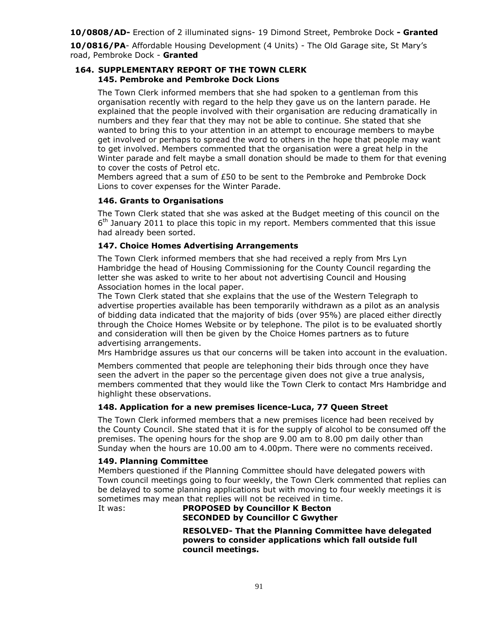**10/0808/AD-** Erection of 2 illuminated signs- 19 Dimond Street, Pembroke Dock **- Granted**

**10/0816/PA**- Affordable Housing Development (4 Units) - The Old Garage site, St Mary's road, Pembroke Dock - **Granted**

## **164. SUPPLEMENTARY REPORT OF THE TOWN CLERK 145. Pembroke and Pembroke Dock Lions**

The Town Clerk informed members that she had spoken to a gentleman from this organisation recently with regard to the help they gave us on the lantern parade. He explained that the people involved with their organisation are reducing dramatically in numbers and they fear that they may not be able to continue. She stated that she wanted to bring this to your attention in an attempt to encourage members to maybe get involved or perhaps to spread the word to others in the hope that people may want to get involved. Members commented that the organisation were a great help in the Winter parade and felt maybe a small donation should be made to them for that evening to cover the costs of Petrol etc.

Members agreed that a sum of £50 to be sent to the Pembroke and Pembroke Dock Lions to cover expenses for the Winter Parade.

# **146. Grants to Organisations**

The Town Clerk stated that she was asked at the Budget meeting of this council on the  $6<sup>th</sup>$  January 2011 to place this topic in my report. Members commented that this issue had already been sorted.

# **147. Choice Homes Advertising Arrangements**

The Town Clerk informed members that she had received a reply from Mrs Lyn Hambridge the head of Housing Commissioning for the County Council regarding the letter she was asked to write to her about not advertising Council and Housing Association homes in the local paper.

The Town Clerk stated that she explains that the use of the Western Telegraph to advertise properties available has been temporarily withdrawn as a pilot as an analysis of bidding data indicated that the majority of bids (over 95%) are placed either directly through the Choice Homes Website or by telephone. The pilot is to be evaluated shortly and consideration will then be given by the Choice Homes partners as to future advertising arrangements.

Mrs Hambridge assures us that our concerns will be taken into account in the evaluation.

Members commented that people are telephoning their bids through once they have seen the advert in the paper so the percentage given does not give a true analysis, members commented that they would like the Town Clerk to contact Mrs Hambridge and highlight these observations.

#### **148. Application for a new premises licence-Luca, 77 Queen Street**

The Town Clerk informed members that a new premises licence had been received by the County Council. She stated that it is for the supply of alcohol to be consumed off the premises. The opening hours for the shop are 9.00 am to 8.00 pm daily other than Sunday when the hours are 10.00 am to 4.00pm. There were no comments received.

#### **149. Planning Committee**

Members questioned if the Planning Committee should have delegated powers with Town council meetings going to four weekly, the Town Clerk commented that replies can be delayed to some planning applications but with moving to four weekly meetings it is sometimes may mean that replies will not be received in time.

# It was: **PROPOSED by Councillor K Becton SECONDED by Councillor C Gwyther**

**RESOLVED- That the Planning Committee have delegated powers to consider applications which fall outside full council meetings.**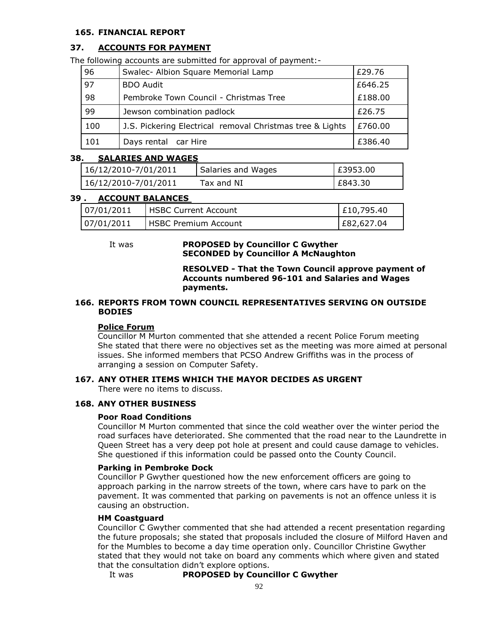## **165. FINANCIAL REPORT**

# **37. ACCOUNTS FOR PAYMENT**

The following accounts are submitted for approval of payment:-

| 96  | Swalec- Albion Square Memorial Lamp                       | £29.76  |
|-----|-----------------------------------------------------------|---------|
| 97  | <b>BDO Audit</b>                                          | £646.25 |
| 98  | Pembroke Town Council - Christmas Tree                    | £188.00 |
| 99  | Jewson combination padlock                                | £26.75  |
| 100 | J.S. Pickering Electrical removal Christmas tree & Lights | £760.00 |
| 101 | Days rental car Hire                                      | £386.40 |

#### **38. SALARIES AND WAGES**

| 16/12/2010-7/01/2011 | Salaries and Wages | E3953.00 |
|----------------------|--------------------|----------|
| 16/12/2010-7/01/2011 | Tax and NI         | E843.30  |

#### **39 . ACCOUNT BALANCES**

| 07/01/2011 | I HSBC Current Account       | E10,795.40 |
|------------|------------------------------|------------|
| 07/01/2011 | <b>IHSBC Premium Account</b> | E82,627.04 |

#### It was **PROPOSED by Councillor C Gwyther SECONDED by Councillor A McNaughton**

**RESOLVED - That the Town Council approve payment of Accounts numbered 96-101 and Salaries and Wages payments.**

## **166. REPORTS FROM TOWN COUNCIL REPRESENTATIVES SERVING ON OUTSIDE BODIES**

#### **Police Forum**

Councillor M Murton commented that she attended a recent Police Forum meeting She stated that there were no objectives set as the meeting was more aimed at personal issues. She informed members that PCSO Andrew Griffiths was in the process of arranging a session on Computer Safety.

# **167. ANY OTHER ITEMS WHICH THE MAYOR DECIDES AS URGENT**

There were no items to discuss.

## **168. ANY OTHER BUSINESS**

#### **Poor Road Conditions**

Councillor M Murton commented that since the cold weather over the winter period the road surfaces have deteriorated. She commented that the road near to the Laundrette in Queen Street has a very deep pot hole at present and could cause damage to vehicles. She questioned if this information could be passed onto the County Council.

#### **Parking in Pembroke Dock**

Councillor P Gwyther questioned how the new enforcement officers are going to approach parking in the narrow streets of the town, where cars have to park on the pavement. It was commented that parking on pavements is not an offence unless it is causing an obstruction.

#### **HM Coastguard**

Councillor C Gwyther commented that she had attended a recent presentation regarding the future proposals; she stated that proposals included the closure of Milford Haven and for the Mumbles to become a day time operation only. Councillor Christine Gwyther stated that they would not take on board any comments which where given and stated that the consultation didn't explore options.

It was **PROPOSED by Councillor C Gwyther**